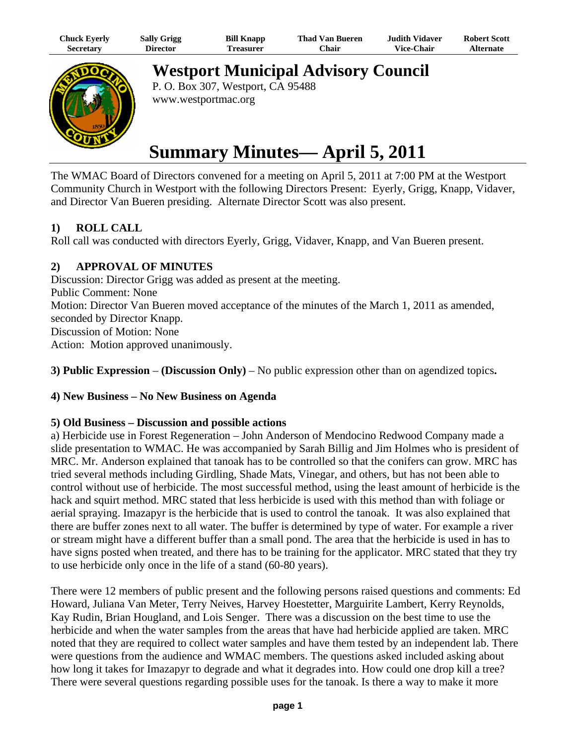| Chuck Eyerly     | <b>Sally Grigg</b> | <b>Bill Knapp</b> | Thad Van Bueren | <b>Judith Vidaver</b> | <b>Robert Scott</b> |
|------------------|--------------------|-------------------|-----------------|-----------------------|---------------------|
| <b>Secretary</b> | Director           | l'reasurer        | ′hair           | <b>Vice-Chair</b>     | Alternate           |



**Westport Municipal Advisory Council**

P. O. Box 307, Westport, CA 95488 www.westportmac.org

# **Summary Minutes— April 5, 2011**

The WMAC Board of Directors convened for a meeting on April 5, 2011 at 7:00 PM at the Westport Community Church in Westport with the following Directors Present: Eyerly, Grigg, Knapp, Vidaver, and Director Van Bueren presiding. Alternate Director Scott was also present.

## **1) ROLL CALL**

Roll call was conducted with directors Eyerly, Grigg, Vidaver, Knapp, and Van Bueren present.

## **2) APPROVAL OF MINUTES**

Discussion: Director Grigg was added as present at the meeting. Public Comment: None Motion: Director Van Bueren moved acceptance of the minutes of the March 1, 2011 as amended, seconded by Director Knapp. Discussion of Motion: None Action: Motion approved unanimously.

**3) Public Expression** – **(Discussion Only)** – No public expression other than on agendized topics**.**

## **4) New Business – No New Business on Agenda**

### **5) Old Business – Discussion and possible actions**

a) Herbicide use in Forest Regeneration – John Anderson of Mendocino Redwood Company made a slide presentation to WMAC. He was accompanied by Sarah Billig and Jim Holmes who is president of MRC. Mr. Anderson explained that tanoak has to be controlled so that the conifers can grow. MRC has tried several methods including Girdling, Shade Mats, Vinegar, and others, but has not been able to control without use of herbicide. The most successful method, using the least amount of herbicide is the hack and squirt method. MRC stated that less herbicide is used with this method than with foliage or aerial spraying. Imazapyr is the herbicide that is used to control the tanoak. It was also explained that there are buffer zones next to all water. The buffer is determined by type of water. For example a river or stream might have a different buffer than a small pond. The area that the herbicide is used in has to have signs posted when treated, and there has to be training for the applicator. MRC stated that they try to use herbicide only once in the life of a stand (60-80 years).

There were 12 members of public present and the following persons raised questions and comments: Ed Howard, Juliana Van Meter, Terry Neives, Harvey Hoestetter, Marguirite Lambert, Kerry Reynolds, Kay Rudin, Brian Hougland, and Lois Senger. There was a discussion on the best time to use the herbicide and when the water samples from the areas that have had herbicide applied are taken. MRC noted that they are required to collect water samples and have them tested by an independent lab. There were questions from the audience and WMAC members. The questions asked included asking about how long it takes for Imazapyr to degrade and what it degrades into. How could one drop kill a tree? There were several questions regarding possible uses for the tanoak. Is there a way to make it more